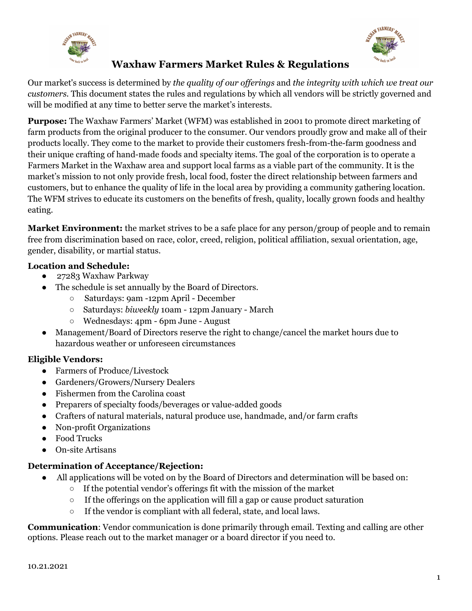## **Waxhaw Farmers Market Rules & Regulations**

Our market's success is determined by *the quality of our offerings* and *the integrity with which we treat our customers.* This document states the rules and regulations by which all vendors will be strictly governed and will be modified at any time to better serve the market's interests.

**Purpose:** The Waxhaw Farmers' Market (WFM) was established in 2001 to promote direct marketing of farm products from the original producer to the consumer. Our vendors proudly grow and make all of their products locally. They come to the market to provide their customers fresh-from-the-farm goodness and their unique crafting of hand-made foods and specialty items. The goal of the corporation is to operate a Farmers Market in the Waxhaw area and support local farms as a viable part of the community. It is the market's mission to not only provide fresh, local food, foster the direct relationship between farmers and customers, but to enhance the quality of life in the local area by providing a community gathering location. The WFM strives to educate its customers on the benefits of fresh, quality, locally grown foods and healthy eating.

**Market Environment:** the market strives to be a safe place for any person/group of people and to remain free from discrimination based on race, color, creed, religion, political affiliation, sexual orientation, age, gender, disability, or martial status.

#### **Location and Schedule:**

- 27283 Waxhaw Parkway
- The schedule is set annually by the Board of Directors.
	- Saturdays: 9am -12pm April December
	- Saturdays: *biweekly* 10am 12pm January March
	- Wednesdays: 4pm 6pm June August
- Management/Board of Directors reserve the right to change/cancel the market hours due to hazardous weather or unforeseen circumstances

## **Eligible Vendors:**

- Farmers of Produce/Livestock
- Gardeners/Growers/Nursery Dealers
- Fishermen from the Carolina coast
- Preparers of specialty foods/beverages or value-added goods
- Crafters of natural materials, natural produce use, handmade, and/or farm crafts
- Non-profit Organizations
- Food Trucks
- **On-site Artisans**

#### **Determination of Acceptance/Rejection:**

- All applications will be voted on by the Board of Directors and determination will be based on:
	- If the potential vendor's offerings fit with the mission of the market
	- If the offerings on the application will fill a gap or cause product saturation
	- If the vendor is compliant with all federal, state, and local laws.

**Communication**: Vendor communication is done primarily through email. Texting and calling are other options. Please reach out to the market manager or a board director if you need to.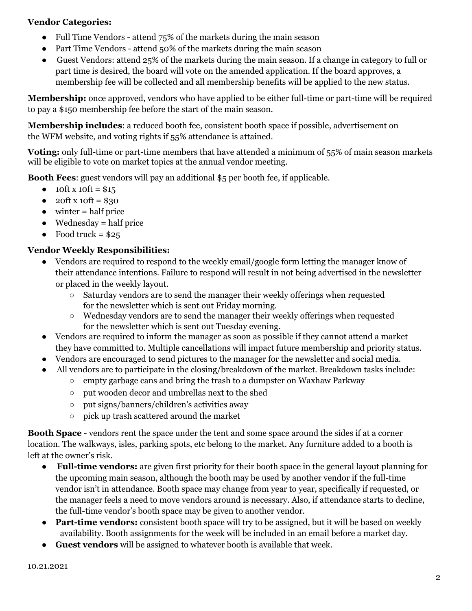#### **Vendor Categories:**

- Full Time Vendors attend 75% of the markets during the main season
- Part Time Vendors attend 50% of the markets during the main season
- Guest Vendors: attend 25% of the markets during the main season. If a change in category to full or part time is desired, the board will vote on the amended application. If the board approves, a membership fee will be collected and all membership benefits will be applied to the new status.

**Membership:** once approved, vendors who have applied to be either full-time or part-time will be required to pay a \$150 membership fee before the start of the main season.

**Membership includes**: a reduced booth fee, consistent booth space if possible, advertisement on the WFM website, and voting rights if 55% attendance is attained.

**Voting:** only full-time or part-time members that have attended a minimum of 55% of main season markets will be eligible to vote on market topics at the annual vendor meeting.

**Booth Fees**: guest vendors will pay an additional \$5 per booth fee, if applicable.

- 10ft x 10ft =  $$15$
- $\bullet$  20ft x 10ft = \$30
- $\bullet$  winter = half price
- $\bullet$  Wednesday = half price
- $\bullet$  Food truck = \$25

## **Vendor Weekly Responsibilities:**

- Vendors are required to respond to the weekly email/google form letting the manager know of their attendance intentions. Failure to respond will result in not being advertised in the newsletter or placed in the weekly layout.
	- $\circ$  Saturday vendors are to send the manager their weekly offerings when requested for the newsletter which is sent out Friday morning.
	- $\circ$  Wednesday vendors are to send the manager their weekly offerings when requested for the newsletter which is sent out Tuesday evening.
- Vendors are required to inform the manager as soon as possible if they cannot attend a market they have committed to. Multiple cancellations will impact future membership and priority status.
- Vendors are encouraged to send pictures to the manager for the newsletter and social media.
- All vendors are to participate in the closing/breakdown of the market. Breakdown tasks include:
	- $\circ$  empty garbage cans and bring the trash to a dumpster on Waxhaw Parkway
	- put wooden decor and umbrellas next to the shed
	- put signs/banners/children's activities away
	- pick up trash scattered around the market

**Booth Space** - vendors rent the space under the tent and some space around the sides if at a corner location. The walkways, isles, parking spots, etc belong to the market. Any furniture added to a booth is left at the owner's risk.

- **Full-time vendors:** are given first priority for their booth space in the general layout planning for the upcoming main season, although the booth may be used by another vendor if the full-time vendor isn't in attendance. Booth space may change from year to year, specifically if requested, or the manager feels a need to move vendors around is necessary. Also, if attendance starts to decline, the full-time vendor's booth space may be given to another vendor.
- **Part-time vendors:** consistent booth space will try to be assigned, but it will be based on weekly availability. Booth assignments for the week will be included in an email before a market day.
- **Guest vendors** will be assigned to whatever booth is available that week.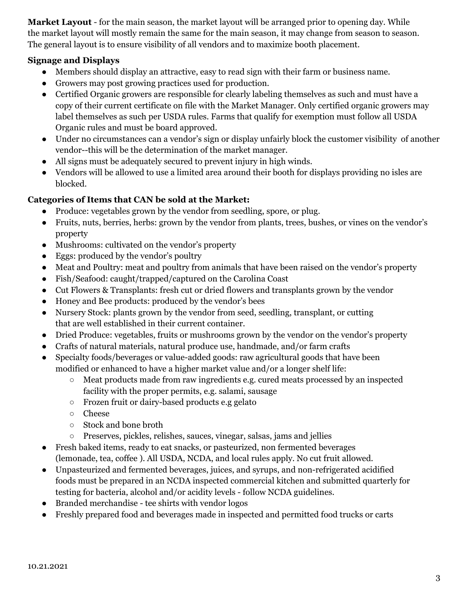**Market Layout** - for the main season, the market layout will be arranged prior to opening day. While the market layout will mostly remain the same for the main season, it may change from season to season. The general layout is to ensure visibility of all vendors and to maximize booth placement.

## **Signage and Displays**

- Members should display an attractive, easy to read sign with their farm or business name.
- Growers may post growing practices used for production.
- Certified Organic growers are responsible for clearly labeling themselves as such and must have a copy of their current certificate on file with the Market Manager. Only certified organic growers may label themselves as such per USDA rules. Farms that qualify for exemption must follow all USDA Organic rules and must be board approved.
- Under no circumstances can a vendor's sign or display unfairly block the customer visibility of another vendor--this will be the determination of the market manager.
- All signs must be adequately secured to prevent injury in high winds.
- Vendors will be allowed to use a limited area around their booth for displays providing no isles are blocked.

## **Categories of Items that CAN be sold at the Market:**

- Produce: vegetables grown by the vendor from seedling, spore, or plug.
- Fruits, nuts, berries, herbs: grown by the vendor from plants, trees, bushes, or vines on the vendor's property
- Mushrooms: cultivated on the vendor's property
- Eggs: produced by the vendor's poultry
- Meat and Poultry: meat and poultry from animals that have been raised on the vendor's property
- Fish/Seafood: caught/trapped/captured on the Carolina Coast
- Cut Flowers & Transplants: fresh cut or dried flowers and transplants grown by the vendor
- Honey and Bee products: produced by the vendor's bees
- Nursery Stock: plants grown by the vendor from seed, seedling, transplant, or cutting that are well established in their current container.
- Dried Produce: vegetables, fruits or mushrooms grown by the vendor on the vendor's property
- Crafts of natural materials, natural produce use, handmade, and/or farm crafts
- Specialty foods/beverages or value-added goods: raw agricultural goods that have been modified or enhanced to have a higher market value and/or a longer shelf life:
	- Meat products made from raw ingredients e.g. cured meats processed by an inspected facility with the proper permits, e.g. salami, sausage
	- Frozen fruit or dairy-based products e.g gelato
	- Cheese
	- Stock and bone broth
	- Preserves, pickles, relishes, sauces, vinegar, salsas, jams and jellies
- Fresh baked items, ready to eat snacks, or pasteurized, non fermented beverages (lemonade, tea, coffee ). All USDA, NCDA, and local rules apply. No cut fruit allowed.
- Unpasteurized and fermented beverages, juices, and syrups, and non-refrigerated acidified foods must be prepared in an NCDA inspected commercial kitchen and submitted quarterly for testing for bacteria, alcohol and/or acidity levels - follow NCDA guidelines.
- Branded merchandise tee shirts with vendor logos
- Freshly prepared food and beverages made in inspected and permitted food trucks or carts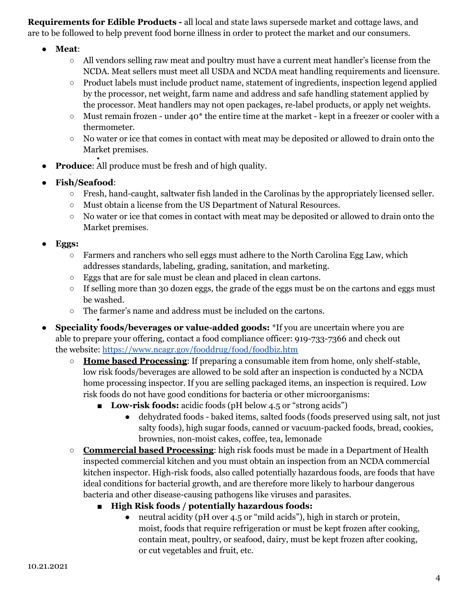**Requirements for Edible Products -** all local and state laws supersede market and cottage laws, and are to be followed to help prevent food borne illness in order to protect the market and our consumers.

- **Meat**:
	- All vendors selling raw meat and poultry must have a current meat handler's license from the NCDA. Meat sellers must meet all USDA and NCDA meat handling requirements and licensure.
	- Product labels must include product name, statement of ingredients, inspection legend applied by the processor, net weight, farm name and address and safe handling statement applied by the processor. Meat handlers may not open packages, re-label products, or apply net weights.
	- $\circ$  Must remain frozen under 40<sup>\*</sup> the entire time at the market kept in a freezer or cooler with a thermometer.
	- No water or ice that comes in contact with meat may be deposited or allowed to drain onto the Market premises.
- **Produce:** All produce must be fresh and of high quality.
- ● **Fish/Seafood**:

■

- Fresh, hand-caught, saltwater fish landed in the Carolinas by the appropriately licensed seller.
- Must obtain a license from the US Department of Natural Resources.
- No water or ice that comes in contact with meat may be deposited or allowed to drain onto the Market premises.
- **● Eggs:**
	- $\circ$  Farmers and ranchers who sell eggs must adhere to the North Carolina Egg Law, which addresses standards, labeling, grading, sanitation, and marketing.
	- Eggs that are for sale must be clean and placed in clean cartons.
	- If selling more than 30 dozen eggs, the grade of the eggs must be on the cartons and eggs must be washed.
	- The farmer's name and address must be included on the cartons.
- **Speciality foods/beverages or value-added goods:** \*If you are uncertain where you are able to prepare your offering, contact a food compliance officer: 919-733-7366 and check out the website: <https://www.ncagr.gov/fooddrug/food/foodbiz.htm>
	- **Home based Processing**: If preparing a consumable item from home, only shelf-stable, low risk foods/beverages are allowed to be sold after an inspection is conducted by a NCDA home processing inspector. If you are selling packaged items, an inspection is required. Low risk foods do not have good conditions for bacteria or other microorganisms:
		- **Low-risk foods:** acidic foods (pH below 4.5 or "strong acids")
			- dehydrated foods baked items, salted foods (foods preserved using salt, not just salty foods), high sugar foods, canned or vacuum-packed foods, bread, cookies, brownies, non-moist cakes, coffee, tea, lemonade
	- **Commercial based Processing**: high risk foods must be made in a Department of Health inspected commercial kitchen and you must obtain an inspection from an NCDA commercial kitchen inspector. High-risk foods, also called potentially hazardous foods, are foods that have ideal conditions for bacterial growth, and are therefore more likely to harbour dangerous bacteria and other disease-causing pathogens like viruses and parasites.
		- **■ High Risk foods / potentially hazardous foods:**
			- neutral acidity (pH over 4.5 or "mild acids"), high in starch or protein, moist, foods that require refrigeration or must be kept frozen after cooking, contain meat, poultry, or seafood, dairy, must be kept frozen after cooking, or cut vegetables and fruit, etc.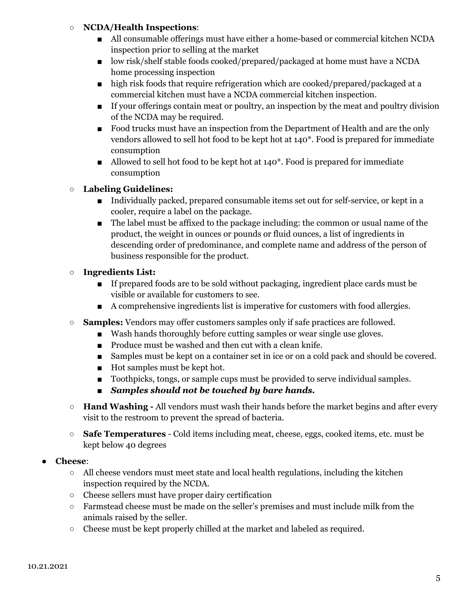#### ○ **NCDA/Health Inspections**:

- All consumable offerings must have either a home-based or commercial kitchen NCDA inspection prior to selling at the market
- low risk/shelf stable foods cooked/prepared/packaged at home must have a NCDA home processing inspection
- high risk foods that require refrigeration which are cooked/prepared/packaged at a commercial kitchen must have a NCDA commercial kitchen inspection.
- If your offerings contain meat or poultry, an inspection by the meat and poultry division of the NCDA may be required.
- Food trucks must have an inspection from the Department of Health and are the only vendors allowed to sell hot food to be kept hot at 140\*. Food is prepared for immediate consumption
- Allowed to sell hot food to be kept hot at 140<sup>\*</sup>. Food is prepared for immediate consumption

## **○ Labeling Guidelines:**

- Individually packed, prepared consumable items set out for self-service, or kept in a cooler, require a label on the package.
- The label must be affixed to the package including: the common or usual name of the product, the weight in ounces or pounds or fluid ounces, a list of ingredients in descending order of predominance, and complete name and address of the person of business responsible for the product.

#### **○ Ingredients List:**

- If prepared foods are to be sold without packaging, ingredient place cards must be visible or available for customers to see.
- A comprehensive ingredients list is imperative for customers with food allergies.
- **Samples:** Vendors may offer customers samples only if safe practices are followed.
	- Wash hands thoroughly before cutting samples or wear single use gloves.
	- Produce must be washed and then cut with a clean knife.
	- Samples must be kept on a container set in ice or on a cold pack and should be covered.
	- Hot samples must be kept hot.
	- Toothpicks, tongs, or sample cups must be provided to serve individual samples.
	- *■ Samples should not be touched by bare hands.*
- **Hand Washing -** All vendors must wash their hands before the market begins and after every visit to the restroom to prevent the spread of bacteria.
- **Safe Temperatures** Cold items including meat, cheese, eggs, cooked items, etc. must be kept below 40 degrees

#### ● **Cheese**:

- $\circ$  All cheese vendors must meet state and local health regulations, including the kitchen inspection required by the NCDA.
- Cheese sellers must have proper dairy certification
- Farmstead cheese must be made on the seller's premises and must include milk from the animals raised by the seller.
- $\circ$  Cheese must be kept properly chilled at the market and labeled as required.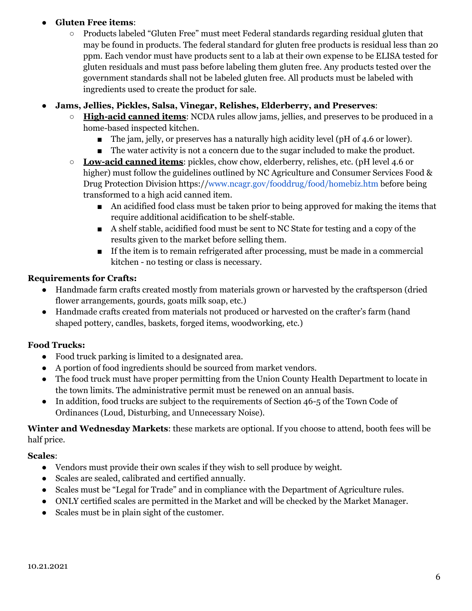## ● **Gluten Free items**:

○ Products labeled "Gluten Free" must meet Federal standards regarding residual gluten that may be found in products. The federal standard for gluten free products is residual less than 20 ppm. Each vendor must have products sent to a lab at their own expense to be ELISA tested for gluten residuals and must pass before labeling them gluten free. Any products tested over the government standards shall not be labeled gluten free. All products must be labeled with ingredients used to create the product for sale.

## ● **Jams, Jellies, Pickles, Salsa, Vinegar, Relishes, Elderberry, and Preserves**:

- **High-acid canned items**: NCDA rules allow jams, jellies, and preserves to be produced in a home-based inspected kitchen.
	- The jam, jelly, or preserves has a naturally high acidity level (pH of 4.6 or lower).
	- The water activity is not a concern due to the sugar included to make the product.
- **Low-acid canned items**: pickles, chow chow, elderberry, relishes, etc. (pH level 4.6 or higher) must follow the guidelines outlined by NC Agriculture and Consumer Services Food & Drug Protection Division https://[www.ncagr.gov/fooddrug/food/homebiz.htm](http://www.ncagr.gov/fooddrug/food/homebiz.htm) before being transformed to a high acid canned item.
	- An acidified food class must be taken prior to being approved for making the items that require additional acidification to be shelf-stable.
	- A shelf stable, acidified food must be sent to NC State for testing and a copy of the results given to the market before selling them.
	- If the item is to remain refrigerated after processing, must be made in a commercial kitchen - no testing or class is necessary.

## **Requirements for Crafts:**

- Handmade farm crafts created mostly from materials grown or harvested by the craftsperson (dried flower arrangements, gourds, goats milk soap, etc.)
- Handmade crafts created from materials not produced or harvested on the crafter's farm (hand shaped pottery, candles, baskets, forged items, woodworking, etc.)

## **Food Trucks:**

- Food truck parking is limited to a designated area.
- A portion of food ingredients should be sourced from market vendors.
- The food truck must have proper permitting from the Union County Health Department to locate in the town limits. The administrative permit must be renewed on an annual basis.
- In addition, food trucks are subject to the requirements of Section 46-5 of the Town Code of Ordinances (Loud, Disturbing, and Unnecessary Noise).

**Winter and Wednesday Markets**: these markets are optional. If you choose to attend, booth fees will be half price.

## **Scales**:

- Vendors must provide their own scales if they wish to sell produce by weight.
- Scales are sealed, calibrated and certified annually.
- Scales must be "Legal for Trade" and in compliance with the Department of Agriculture rules.
- ONLY certified scales are permitted in the Market and will be checked by the Market Manager.
- Scales must be in plain sight of the customer.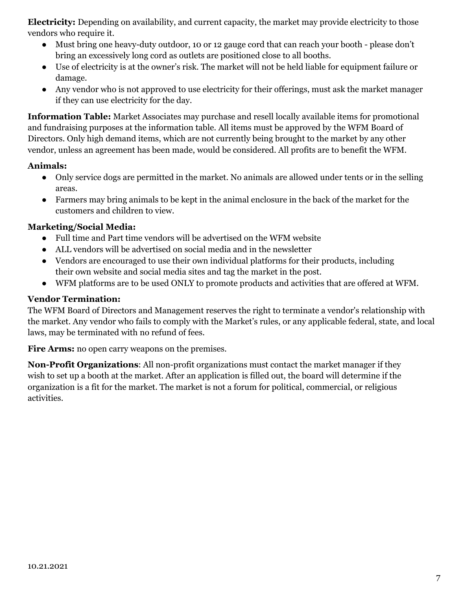**Electricity:** Depending on availability, and current capacity, the market may provide electricity to those vendors who require it.

- Must bring one heavy-duty outdoor, 10 or 12 gauge cord that can reach your booth please don't bring an excessively long cord as outlets are positioned close to all booths.
- Use of electricity is at the owner's risk. The market will not be held liable for equipment failure or damage.
- Any vendor who is not approved to use electricity for their offerings, must ask the market manager if they can use electricity for the day.

**Information Table:** Market Associates may purchase and resell locally available items for promotional and fundraising purposes at the information table. All items must be approved by the WFM Board of Directors. Only high demand items, which are not currently being brought to the market by any other vendor, unless an agreement has been made, would be considered. All profits are to benefit the WFM.

#### **Animals:**

- Only service dogs are permitted in the market. No animals are allowed under tents or in the selling areas.
- Farmers may bring animals to be kept in the animal enclosure in the back of the market for the customers and children to view.

## **Marketing/Social Media:**

- Full time and Part time vendors will be advertised on the WFM website
- ALL vendors will be advertised on social media and in the newsletter
- Vendors are encouraged to use their own individual platforms for their products, including their own website and social media sites and tag the market in the post.
- WFM platforms are to be used ONLY to promote products and activities that are offered at WFM.

## **Vendor Termination:**

The WFM Board of Directors and Management reserves the right to terminate a vendor's relationship with the market. Any vendor who fails to comply with the Market's rules, or any applicable federal, state, and local laws, may be terminated with no refund of fees.

Fire Arms: no open carry weapons on the premises.

**Non-Profit Organizations**: All non-profit organizations must contact the market manager if they wish to set up a booth at the market. After an application is filled out, the board will determine if the organization is a fit for the market. The market is not a forum for political, commercial, or religious activities.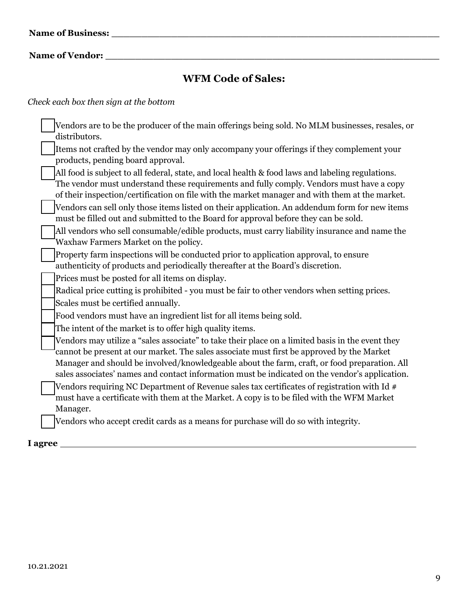**Name of Vendor: \_\_\_\_\_\_\_\_\_\_\_\_\_\_\_\_\_\_\_\_\_\_\_\_\_\_\_\_\_\_\_\_\_\_\_\_\_\_\_\_\_\_\_\_\_\_\_\_\_\_\_\_\_\_\_\_**

# **WFM Code of Sales:**

## *Check each box then sign at the bottom*

| Vendors are to be the producer of the main offerings being sold. No MLM businesses, resales, or<br>distributors.                                                                                                                                                                                |
|-------------------------------------------------------------------------------------------------------------------------------------------------------------------------------------------------------------------------------------------------------------------------------------------------|
| Items not crafted by the vendor may only accompany your offerings if they complement your<br>products, pending board approval.                                                                                                                                                                  |
| All food is subject to all federal, state, and local health & food laws and labeling regulations.<br>The vendor must understand these requirements and fully comply. Vendors must have a copy<br>of their inspection/certification on file with the market manager and with them at the market. |
| Vendors can sell only those items listed on their application. An addendum form for new items<br>must be filled out and submitted to the Board for approval before they can be sold.                                                                                                            |
| All vendors who sell consumable/edible products, must carry liability insurance and name the<br>Waxhaw Farmers Market on the policy.                                                                                                                                                            |
| Property farm inspections will be conducted prior to application approval, to ensure<br>authenticity of products and periodically thereafter at the Board's discretion.                                                                                                                         |
| Prices must be posted for all items on display.                                                                                                                                                                                                                                                 |
| Radical price cutting is prohibited - you must be fair to other vendors when setting prices.                                                                                                                                                                                                    |
| Scales must be certified annually.                                                                                                                                                                                                                                                              |
| Food vendors must have an ingredient list for all items being sold.                                                                                                                                                                                                                             |
| The intent of the market is to offer high quality items.                                                                                                                                                                                                                                        |
| Vendors may utilize a "sales associate" to take their place on a limited basis in the event they<br>cannot be present at our market. The sales associate must first be approved by the Market<br>Manager and should be involved/knowledgeable about the farm, craft, or food preparation. All   |
| sales associates' names and contact information must be indicated on the vendor's application.                                                                                                                                                                                                  |
| Vendors requiring NC Department of Revenue sales tax certificates of registration with Id #<br>must have a certificate with them at the Market. A copy is to be filed with the WFM Market                                                                                                       |
| Manager.                                                                                                                                                                                                                                                                                        |
| Vendors who accept credit cards as a means for purchase will do so with integrity.                                                                                                                                                                                                              |

## **I agree**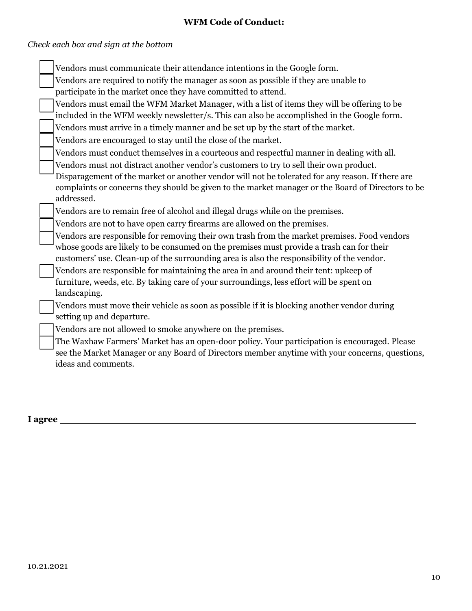## **WFM Code of Conduct:**

# *Check each box and sign at the bottom*

| Vendors must communicate their attendance intentions in the Google form.                                                                                                                       |
|------------------------------------------------------------------------------------------------------------------------------------------------------------------------------------------------|
| Vendors are required to notify the manager as soon as possible if they are unable to                                                                                                           |
| participate in the market once they have committed to attend.                                                                                                                                  |
| Vendors must email the WFM Market Manager, with a list of items they will be offering to be                                                                                                    |
| included in the WFM weekly newsletter/s. This can also be accomplished in the Google form.                                                                                                     |
| Vendors must arrive in a timely manner and be set up by the start of the market.                                                                                                               |
| Vendors are encouraged to stay until the close of the market.                                                                                                                                  |
| Vendors must conduct themselves in a courteous and respectful manner in dealing with all.                                                                                                      |
| Vendors must not distract another vendor's customers to try to sell their own product.                                                                                                         |
| Disparagement of the market or another vendor will not be tolerated for any reason. If there are                                                                                               |
| complaints or concerns they should be given to the market manager or the Board of Directors to be                                                                                              |
| addressed.                                                                                                                                                                                     |
| Vendors are to remain free of alcohol and illegal drugs while on the premises.                                                                                                                 |
| Vendors are not to have open carry firearms are allowed on the premises.                                                                                                                       |
| Vendors are responsible for removing their own trash from the market premises. Food vendors                                                                                                    |
| whose goods are likely to be consumed on the premises must provide a trash can for their                                                                                                       |
| customers' use. Clean-up of the surrounding area is also the responsibility of the vendor.                                                                                                     |
| Vendors are responsible for maintaining the area in and around their tent: upkeep of                                                                                                           |
| furniture, weeds, etc. By taking care of your surroundings, less effort will be spent on                                                                                                       |
| landscaping.                                                                                                                                                                                   |
| Vendors must move their vehicle as soon as possible if it is blocking another vendor during<br>setting up and departure.                                                                       |
| Vendors are not allowed to smoke anywhere on the premises.                                                                                                                                     |
|                                                                                                                                                                                                |
| The Waxhaw Farmers' Market has an open-door policy. Your participation is encouraged. Please<br>see the Market Manager or any Board of Directors member anytime with your concerns, questions, |
| ideas and comments.                                                                                                                                                                            |
|                                                                                                                                                                                                |
|                                                                                                                                                                                                |

## **I agree**